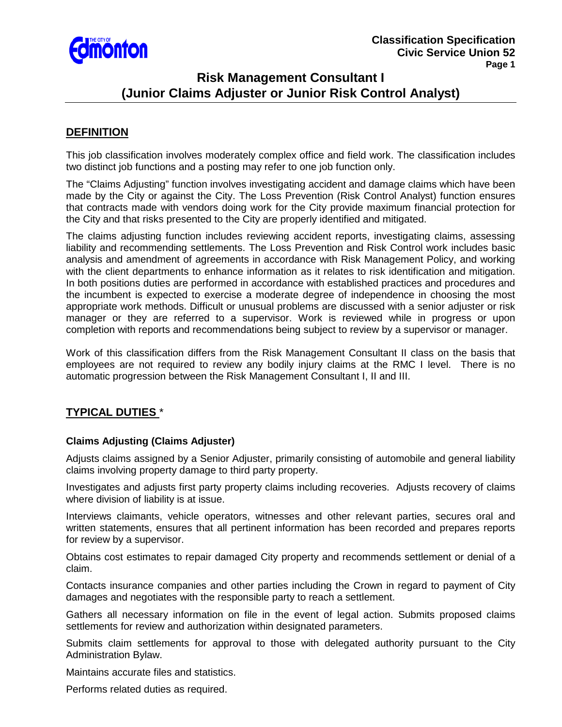

# **Risk Management Consultant I (Junior Claims Adjuster or Junior Risk Control Analyst)**

## **DEFINITION**

This job classification involves moderately complex office and field work. The classification includes two distinct job functions and a posting may refer to one job function only.

The "Claims Adjusting" function involves investigating accident and damage claims which have been made by the City or against the City. The Loss Prevention (Risk Control Analyst) function ensures that contracts made with vendors doing work for the City provide maximum financial protection for the City and that risks presented to the City are properly identified and mitigated.

The claims adjusting function includes reviewing accident reports, investigating claims, assessing liability and recommending settlements. The Loss Prevention and Risk Control work includes basic analysis and amendment of agreements in accordance with Risk Management Policy, and working with the client departments to enhance information as it relates to risk identification and mitigation. In both positions duties are performed in accordance with established practices and procedures and the incumbent is expected to exercise a moderate degree of independence in choosing the most appropriate work methods. Difficult or unusual problems are discussed with a senior adjuster or risk manager or they are referred to a supervisor. Work is reviewed while in progress or upon completion with reports and recommendations being subject to review by a supervisor or manager.

Work of this classification differs from the Risk Management Consultant II class on the basis that employees are not required to review any bodily injury claims at the RMC I level. There is no automatic progression between the Risk Management Consultant I, II and III.

# **TYPICAL DUTIES** \*

### **Claims Adjusting (Claims Adjuster)**

Adjusts claims assigned by a Senior Adjuster, primarily consisting of automobile and general liability claims involving property damage to third party property.

Investigates and adjusts first party property claims including recoveries. Adjusts recovery of claims where division of liability is at issue.

Interviews claimants, vehicle operators, witnesses and other relevant parties, secures oral and written statements, ensures that all pertinent information has been recorded and prepares reports for review by a supervisor.

Obtains cost estimates to repair damaged City property and recommends settlement or denial of a claim.

Contacts insurance companies and other parties including the Crown in regard to payment of City damages and negotiates with the responsible party to reach a settlement.

Gathers all necessary information on file in the event of legal action. Submits proposed claims settlements for review and authorization within designated parameters.

Submits claim settlements for approval to those with delegated authority pursuant to the City Administration Bylaw.

Maintains accurate files and statistics.

Performs related duties as required.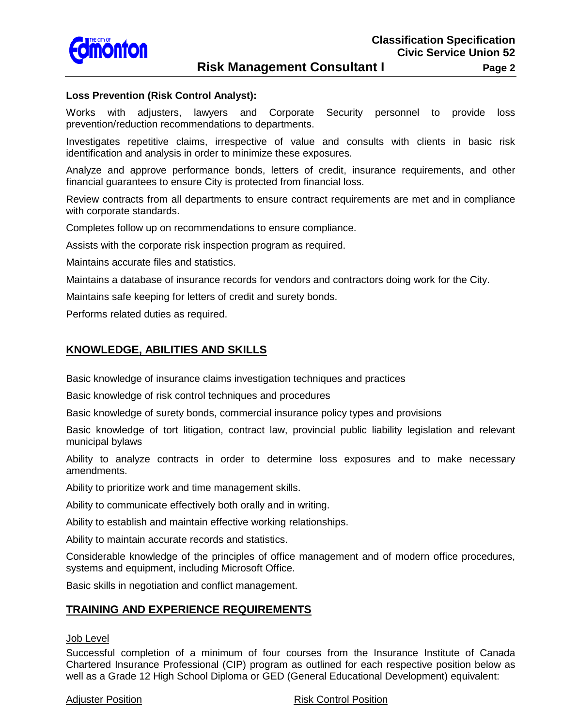

#### **Loss Prevention (Risk Control Analyst):**

Works with adjusters, lawyers and Corporate Security personnel to provide loss prevention/reduction recommendations to departments.

Investigates repetitive claims, irrespective of value and consults with clients in basic risk identification and analysis in order to minimize these exposures.

Analyze and approve performance bonds, letters of credit, insurance requirements, and other financial guarantees to ensure City is protected from financial loss.

Review contracts from all departments to ensure contract requirements are met and in compliance with corporate standards.

Completes follow up on recommendations to ensure compliance.

Assists with the corporate risk inspection program as required.

Maintains accurate files and statistics.

Maintains a database of insurance records for vendors and contractors doing work for the City.

Maintains safe keeping for letters of credit and surety bonds.

Performs related duties as required.

# **KNOWLEDGE, ABILITIES AND SKILLS**

Basic knowledge of insurance claims investigation techniques and practices

Basic knowledge of risk control techniques and procedures

Basic knowledge of surety bonds, commercial insurance policy types and provisions

Basic knowledge of tort litigation, contract law, provincial public liability legislation and relevant municipal bylaws

Ability to analyze contracts in order to determine loss exposures and to make necessary amendments.

Ability to prioritize work and time management skills.

Ability to communicate effectively both orally and in writing.

Ability to establish and maintain effective working relationships.

Ability to maintain accurate records and statistics.

Considerable knowledge of the principles of office management and of modern office procedures, systems and equipment, including Microsoft Office.

Basic skills in negotiation and conflict management.

### **TRAINING AND EXPERIENCE REQUIREMENTS**

#### Job Level

Successful completion of a minimum of four courses from the Insurance Institute of Canada Chartered Insurance Professional (CIP) program as outlined for each respective position below as well as a Grade 12 High School Diploma or GED (General Educational Development) equivalent:

#### Adjuster Position **Risk Control Position Risk Control Position**